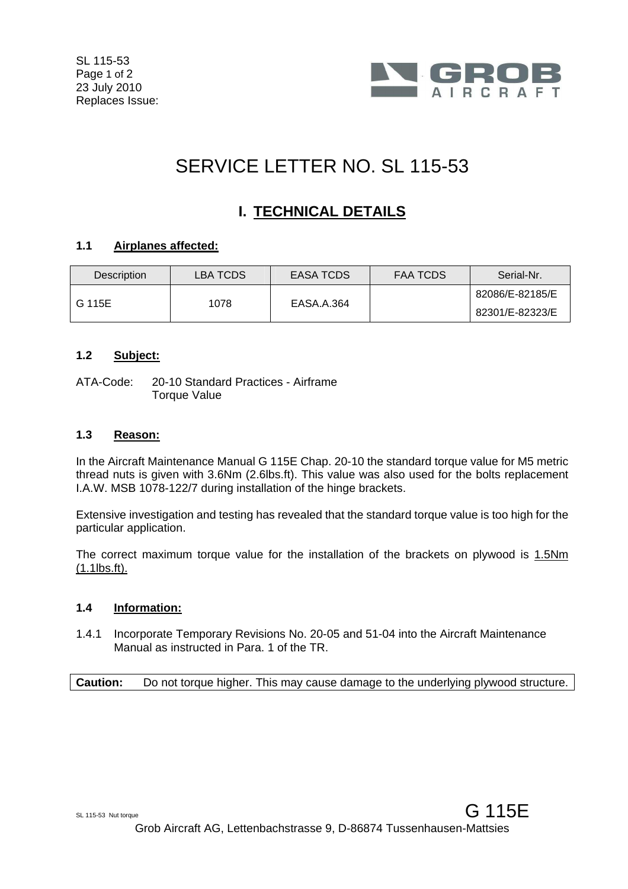

# SERVICE LETTER NO. SL 115-53

## **I. TECHNICAL DETAILS**

#### **1.1 Airplanes affected:**

| Description | LBA TCDS | EASA TCDS  | <b>FAA TCDS</b> | Serial-Nr.      |
|-------------|----------|------------|-----------------|-----------------|
| G 115E      | 1078     | EASA.A.364 |                 | 82086/E-82185/E |
|             |          |            |                 | 82301/E-82323/E |

#### **1.2 Subject:**

ATA-Code: 20-10 Standard Practices - Airframe **Torque Value** 

#### **1.3 Reason:**

In the Aircraft Maintenance Manual G 115E Chap. 20-10 the standard torque value for M5 metric thread nuts is given with 3.6Nm (2.6lbs.ft). This value was also used for the bolts replacement I.A.W. MSB 1078-122/7 during installation of the hinge brackets.

Extensive investigation and testing has revealed that the standard torque value is too high for the particular application.

The correct maximum torque value for the installation of the brackets on plywood is 1.5Nm (1.1lbs.ft).

#### **1.4 Information:**

1.4.1 Incorporate Temporary Revisions No. 20-05 and 51-04 into the Aircraft Maintenance Manual as instructed in Para. 1 of the TR.

**Caution:** Do not torque higher. This may cause damage to the underlying plywood structure.